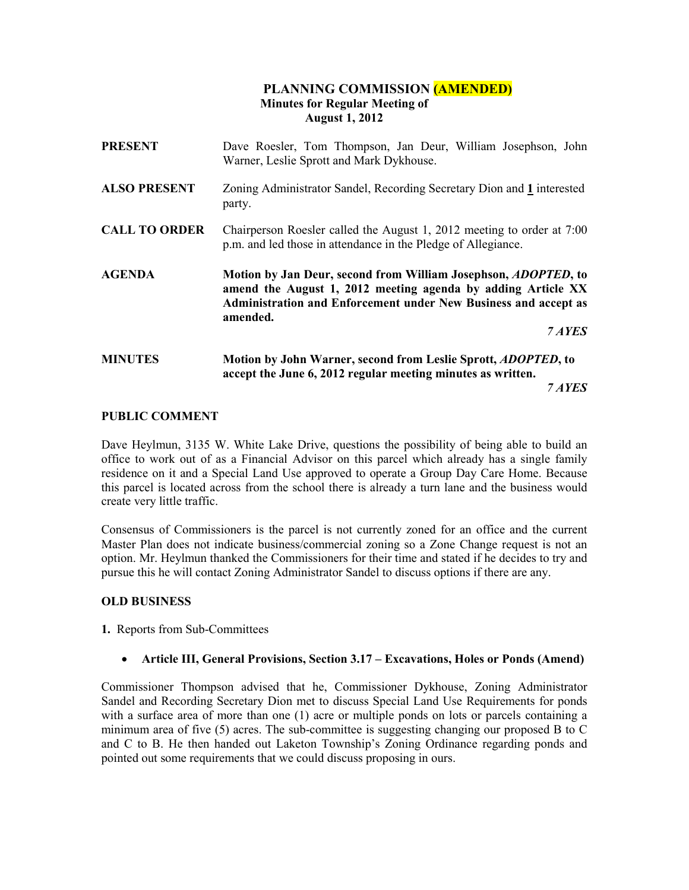# PLANNING COMMISSION (AMENDED) Minutes for Regular Meeting of August 1, 2012

| <b>PRESENT</b>       | Dave Roesler, Tom Thompson, Jan Deur, William Josephson, John<br>Warner, Leslie Sprott and Mark Dykhouse.                                                                                                                              |  |  |
|----------------------|----------------------------------------------------------------------------------------------------------------------------------------------------------------------------------------------------------------------------------------|--|--|
| <b>ALSO PRESENT</b>  | Zoning Administrator Sandel, Recording Secretary Dion and 1 interested<br>party.                                                                                                                                                       |  |  |
| <b>CALL TO ORDER</b> | Chairperson Roesler called the August 1, 2012 meeting to order at 7:00<br>p.m. and led those in attendance in the Pledge of Allegiance.                                                                                                |  |  |
| <b>AGENDA</b>        | Motion by Jan Deur, second from William Josephson, <i>ADOPTED</i> , to<br>amend the August 1, 2012 meeting agenda by adding Article XX<br><b>Administration and Enforcement under New Business and accept as</b><br>amended.<br>7 AYES |  |  |
| <b>MINUTES</b>       | Motion by John Warner, second from Leslie Sprott, <i>ADOPTED</i> , to<br>accept the June 6, 2012 regular meeting minutes as written.                                                                                                   |  |  |

7 AYES

## PUBLIC COMMENT

Dave Heylmun, 3135 W. White Lake Drive, questions the possibility of being able to build an office to work out of as a Financial Advisor on this parcel which already has a single family residence on it and a Special Land Use approved to operate a Group Day Care Home. Because this parcel is located across from the school there is already a turn lane and the business would create very little traffic.

Consensus of Commissioners is the parcel is not currently zoned for an office and the current Master Plan does not indicate business/commercial zoning so a Zone Change request is not an option. Mr. Heylmun thanked the Commissioners for their time and stated if he decides to try and pursue this he will contact Zoning Administrator Sandel to discuss options if there are any.

## OLD BUSINESS

1. Reports from Sub-Committees

## • Article III, General Provisions, Section 3.17 – Excavations, Holes or Ponds (Amend)

Commissioner Thompson advised that he, Commissioner Dykhouse, Zoning Administrator Sandel and Recording Secretary Dion met to discuss Special Land Use Requirements for ponds with a surface area of more than one (1) acre or multiple ponds on lots or parcels containing a minimum area of five (5) acres. The sub-committee is suggesting changing our proposed B to C and C to B. He then handed out Laketon Township's Zoning Ordinance regarding ponds and pointed out some requirements that we could discuss proposing in ours.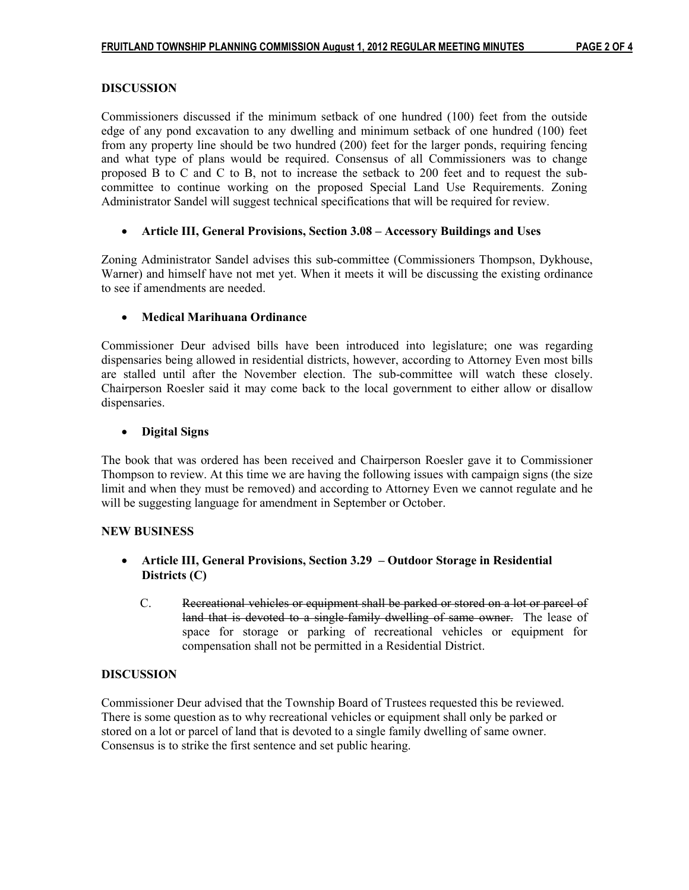## DISCUSSION

Commissioners discussed if the minimum setback of one hundred (100) feet from the outside edge of any pond excavation to any dwelling and minimum setback of one hundred (100) feet from any property line should be two hundred (200) feet for the larger ponds, requiring fencing and what type of plans would be required. Consensus of all Commissioners was to change proposed B to C and C to B, not to increase the setback to 200 feet and to request the subcommittee to continue working on the proposed Special Land Use Requirements. Zoning Administrator Sandel will suggest technical specifications that will be required for review.

# • Article III, General Provisions, Section 3.08 – Accessory Buildings and Uses

Zoning Administrator Sandel advises this sub-committee (Commissioners Thompson, Dykhouse, Warner) and himself have not met yet. When it meets it will be discussing the existing ordinance to see if amendments are needed.

# • Medical Marihuana Ordinance

Commissioner Deur advised bills have been introduced into legislature; one was regarding dispensaries being allowed in residential districts, however, according to Attorney Even most bills are stalled until after the November election. The sub-committee will watch these closely. Chairperson Roesler said it may come back to the local government to either allow or disallow dispensaries.

# • Digital Signs

The book that was ordered has been received and Chairperson Roesler gave it to Commissioner Thompson to review. At this time we are having the following issues with campaign signs (the size limit and when they must be removed) and according to Attorney Even we cannot regulate and he will be suggesting language for amendment in September or October.

## NEW BUSINESS

- Article III, General Provisions, Section 3.29 Outdoor Storage in Residential Districts (C)
	- C. Recreational vehicles or equipment shall be parked or stored on a lot or parcel of land that is devoted to a single-family dwelling of same owner. The lease of space for storage or parking of recreational vehicles or equipment for compensation shall not be permitted in a Residential District.

# DISCUSSION

Commissioner Deur advised that the Township Board of Trustees requested this be reviewed. There is some question as to why recreational vehicles or equipment shall only be parked or stored on a lot or parcel of land that is devoted to a single family dwelling of same owner. Consensus is to strike the first sentence and set public hearing.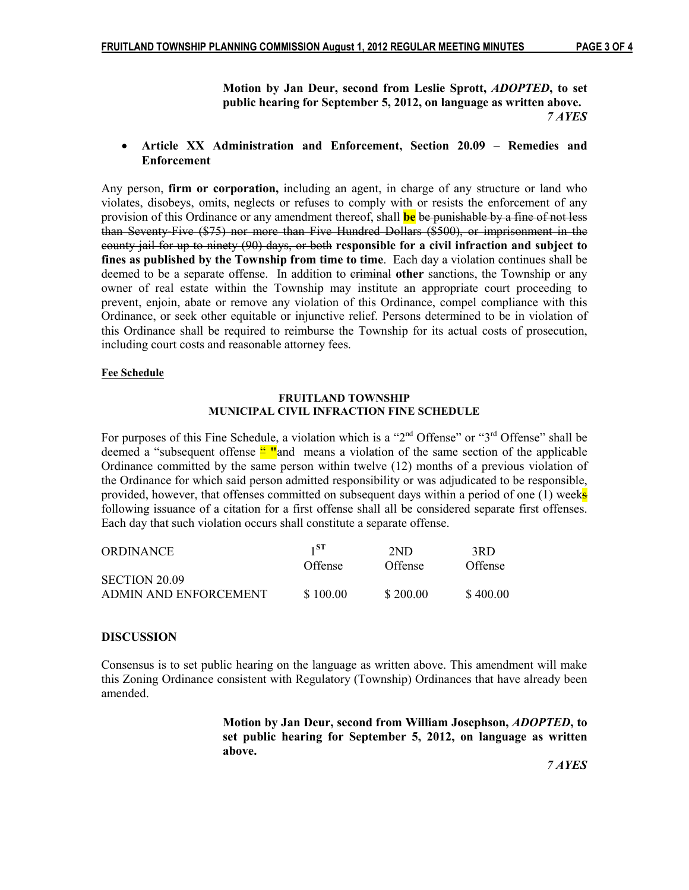Motion by Jan Deur, second from Leslie Sprott, ADOPTED, to set public hearing for September 5, 2012, on language as written above. THE THREE TRAVES

#### • Article XX Administration and Enforcement, Section 20.09 – Remedies and Enforcement

Any person, firm or corporation, including an agent, in charge of any structure or land who violates, disobeys, omits, neglects or refuses to comply with or resists the enforcement of any provision of this Ordinance or any amendment thereof, shall **be** be punishable by a fine of not less than Seventy-Five (\$75) nor more than Five Hundred Dollars (\$500), or imprisonment in the county jail for up to ninety (90) days, or both responsible for a civil infraction and subject to fines as published by the Township from time to time. Each day a violation continues shall be deemed to be a separate offense. In addition to eriminal other sanctions, the Township or any owner of real estate within the Township may institute an appropriate court proceeding to prevent, enjoin, abate or remove any violation of this Ordinance, compel compliance with this Ordinance, or seek other equitable or injunctive relief. Persons determined to be in violation of this Ordinance shall be required to reimburse the Township for its actual costs of prosecution, including court costs and reasonable attorney fees.

#### Fee Schedule

#### FRUITLAND TOWNSHIP MUNICIPAL CIVIL INFRACTION FINE SCHEDULE

For purposes of this Fine Schedule, a violation which is a "2<sup>nd</sup> Offense" or "3<sup>rd</sup> Offense" shall be deemed a "subsequent offense  $\frac{u}{n}$ " and means a violation of the same section of the applicable Ordinance committed by the same person within twelve (12) months of a previous violation of the Ordinance for which said person admitted responsibility or was adjudicated to be responsible, provided, however, that offenses committed on subsequent days within a period of one  $(1)$  weeks following issuance of a citation for a first offense shall all be considered separate first offenses. Each day that such violation occurs shall constitute a separate offense.

| <b>ORDINANCE</b>      | $1^{\rm ST}$ | 2ND            | 3RD      |
|-----------------------|--------------|----------------|----------|
|                       | Offense      | <b>Offense</b> | Offense  |
| SECTION 20.09         |              |                |          |
| ADMIN AND ENFORCEMENT | \$100.00     | \$200.00       | \$400.00 |

## DISCUSSION

Consensus is to set public hearing on the language as written above. This amendment will make this Zoning Ordinance consistent with Regulatory (Township) Ordinances that have already been amended.

> Motion by Jan Deur, second from William Josephson, ADOPTED, to set public hearing for September 5, 2012, on language as written above.

7 AYES